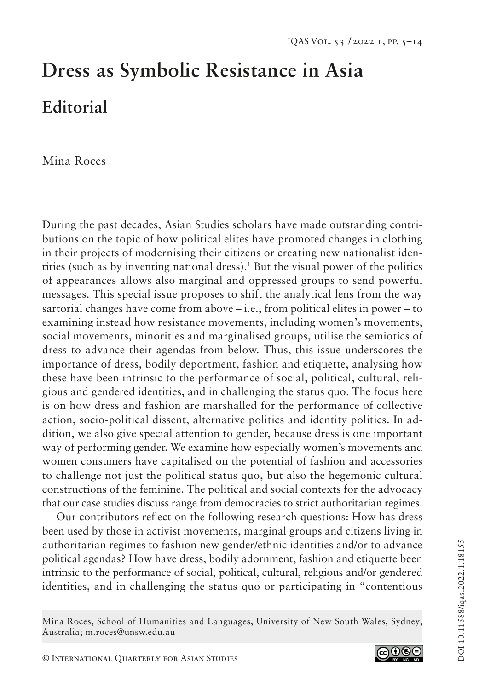# **Dress as Symbolic Resistance in Asia Editorial**

Mina Roces

During the past decades, Asian Studies scholars have made outstanding contributions on the topic of how political elites have promoted changes in clothing in their projects of modernising their citizens or creating new nationalist identities (such as by inventing national dress).1 But the visual power of the politics of appearances allows also marginal and oppressed groups to send powerful messages. This special issue proposes to shift the analytical lens from the way sartorial changes have come from above  $-i.e.,$  from political elites in power  $-i$  to examining instead how resistance movements, including women's movements, social movements, minorities and marginalised groups, utilise the semiotics of dress to advance their agendas from below. Thus, this issue underscores the importance of dress, bodily deportment, fashion and etiquette, analysing how these have been intrinsic to the performance of social, political, cultural, religious and gendered identities, and in challenging the status quo. The focus here is on how dress and fashion are marshalled for the performance of collective action, socio-political dissent, alternative politics and identity politics. In addition, we also give special attention to gender, because dress is one important way of performing gender. We examine how especially women's movements and women consumers have capitalised on the potential of fashion and accessories to challenge not just the political status quo, but also the hegemonic cultural constructions of the feminine. The political and social contexts for the advocacy that our case studies discuss range from democracies to strict authoritarian regimes.

Our contributors reflect on the following research questions: How has dress been used by those in activist movements, marginal groups and citizens living in authoritarian regimes to fashion new gender/ethnic identities and/or to advance political agendas? How have dress, bodily adornment, fashion and etiquette been intrinsic to the performance of social, political, cultural, religious and/or gendered identities, and in challenging the status quo or participating in "contentious



Mina Roces, School of Humanities and Languages, University of New South Wales, Sydney, Australia; m.roces@unsw.edu.au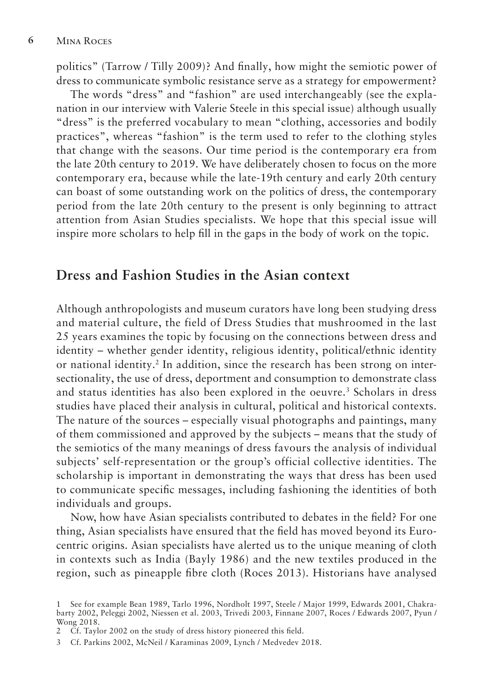politics" (Tarrow / Tilly 2009)? And finally, how might the semiotic power of dress to communicate symbolic resistance serve as a strategy for empowerment?

The words "dress" and "fashion" are used interchangeably (see the explanation in our interview with Valerie Steele in this special issue) although usually "dress" is the preferred vocabulary to mean "clothing, accessories and bodily practices", whereas "fashion" is the term used to refer to the clothing styles that change with the seasons. Our time period is the contemporary era from the late 20th century to 2019. We have deliberately chosen to focus on the more contemporary era, because while the late-19th century and early 20th century can boast of some outstanding work on the politics of dress, the contemporary period from the late 20th century to the present is only beginning to attract attention from Asian Studies specialists. We hope that this special issue will inspire more scholars to help fill in the gaps in the body of work on the topic.

# **Dress and Fashion Studies in the Asian context**

Although anthropologists and museum curators have long been studying dress and material culture, the field of Dress Studies that mushroomed in the last 25 years examines the topic by focusing on the connections between dress and identity – whether gender identity, religious identity, political/ethnic identity or national identity.<sup>2</sup> In addition, since the research has been strong on intersectionality, the use of dress, deportment and consumption to demonstrate class and status identities has also been explored in the oeuvre.<sup>3</sup> Scholars in dress studies have placed their analysis in cultural, political and historical contexts. The nature of the sources – especially visual photographs and paintings, many of them commissioned and approved by the subjects – means that the study of the semiotics of the many meanings of dress favours the analysis of individual subjects' self-representation or the group's official collective identities. The scholarship is important in demonstrating the ways that dress has been used to communicate specific messages, including fashioning the identities of both individuals and groups.

Now, how have Asian specialists contributed to debates in the field? For one thing, Asian specialists have ensured that the field has moved beyond its Eurocentric origins. Asian specialists have alerted us to the unique meaning of cloth in contexts such as India (Bayly 1986) and the new textiles produced in the region, such as pineapple fibre cloth (Roces 2013). Historians have analysed

<sup>1</sup> See for example Bean 1989, Tarlo 1996, Nordholt 1997, Steele / Major 1999, Edwards 2001, Chakrabarty 2002, Peleggi 2002, Niessen et al. 2003, Trivedi 2003, Finnane 2007, Roces / Edwards 2007, Pyun / Wong 2018.

<sup>2</sup> Cf. Taylor 2002 on the study of dress history pioneered this field.

<sup>3</sup> Cf. Parkins 2002, McNeil / Karaminas 2009, Lynch / Medvedev 2018.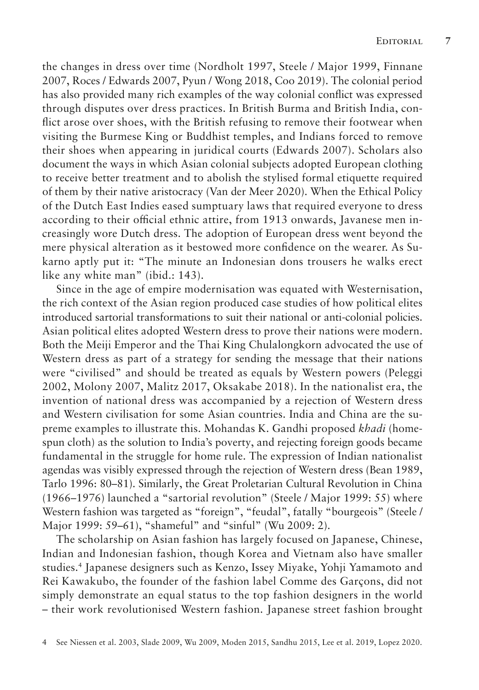the changes in dress over time (Nordholt 1997, Steele / Major 1999, Finnane 2007, Roces / Edwards 2007, Pyun / Wong 2018, Coo 2019). The colonial period has also provided many rich examples of the way colonial conflict was expressed through disputes over dress practices. In British Burma and British India, conflict arose over shoes, with the British refusing to remove their footwear when visiting the Burmese King or Buddhist temples, and Indians forced to remove their shoes when appearing in juridical courts (Edwards 2007). Scholars also document the ways in which Asian colonial subjects adopted European clothing to receive better treatment and to abolish the stylised formal etiquette required of them by their native aristocracy (Van der Meer 2020). When the Ethical Policy of the Dutch East Indies eased sumptuary laws that required everyone to dress according to their official ethnic attire, from 1913 onwards, Javanese men increasingly wore Dutch dress. The adoption of European dress went beyond the mere physical alteration as it bestowed more confidence on the wearer. As Sukarno aptly put it: "The minute an Indonesian dons trousers he walks erect like any white man" (ibid.: 143).

Since in the age of empire modernisation was equated with Westernisation, the rich context of the Asian region produced case studies of how political elites introduced sartorial transformations to suit their national or anti-colonial policies. Asian political elites adopted Western dress to prove their nations were modern. Both the Meiji Emperor and the Thai King Chulalongkorn advocated the use of Western dress as part of a strategy for sending the message that their nations were "civilised" and should be treated as equals by Western powers (Peleggi 2002, Molony 2007, Malitz 2017, Oksakabe 2018). In the nationalist era, the invention of national dress was accompanied by a rejection of Western dress and Western civilisation for some Asian countries. India and China are the supreme examples to illustrate this. Mohandas K. Gandhi proposed *khadi* (homespun cloth) as the solution to India's poverty, and rejecting foreign goods became fundamental in the struggle for home rule. The expression of Indian nationalist agendas was visibly expressed through the rejection of Western dress (Bean 1989, Tarlo 1996: 80–81). Similarly, the Great Proletarian Cultural Revolution in China (1966–1976) launched a "sartorial revolution" (Steele / Major 1999: 55) where Western fashion was targeted as "foreign", "feudal", fatally "bourgeois" (Steele / Major 1999: 59–61), "shameful" and "sinful" (Wu 2009: 2).

The scholarship on Asian fashion has largely focused on Japanese, Chinese, Indian and Indonesian fashion, though Korea and Vietnam also have smaller studies.4 Japanese designers such as Kenzo, Issey Miyake, Yohji Yamamoto and Rei Kawakubo, the founder of the fashion label Comme des Garçons, did not simply demonstrate an equal status to the top fashion designers in the world – their work revolutionised Western fashion. Japanese street fashion brought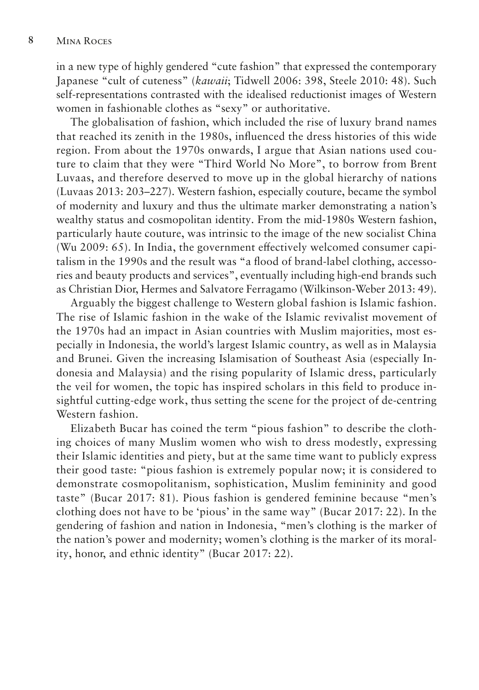in a new type of highly gendered "cute fashion" that expressed the contemporary Japanese "cult of cuteness" (*kawaii*; Tidwell 2006: 398, Steele 2010: 48). Such self-representations contrasted with the idealised reductionist images of Western women in fashionable clothes as "sexy" or authoritative.

The globalisation of fashion, which included the rise of luxury brand names that reached its zenith in the 1980s, influenced the dress histories of this wide region. From about the 1970s onwards, I argue that Asian nations used couture to claim that they were "Third World No More", to borrow from Brent Luvaas, and therefore deserved to move up in the global hierarchy of nations (Luvaas 2013: 203–227). Western fashion, especially couture, became the symbol of modernity and luxury and thus the ultimate marker demonstrating a nation's wealthy status and cosmopolitan identity. From the mid-1980s Western fashion, particularly haute couture, was intrinsic to the image of the new socialist China (Wu 2009: 65). In India, the government effectively welcomed consumer capitalism in the 1990s and the result was "a flood of brand-label clothing, accessories and beauty products and services", eventually including high-end brands such as Christian Dior, Hermes and Salvatore Ferragamo (Wilkinson-Weber 2013: 49).

Arguably the biggest challenge to Western global fashion is Islamic fashion. The rise of Islamic fashion in the wake of the Islamic revivalist movement of the 1970s had an impact in Asian countries with Muslim majorities, most especially in Indonesia, the world's largest Islamic country, as well as in Malaysia and Brunei. Given the increasing Islamisation of Southeast Asia (especially Indonesia and Malaysia) and the rising popularity of Islamic dress, particularly the veil for women, the topic has inspired scholars in this field to produce insightful cutting-edge work, thus setting the scene for the project of de-centring Western fashion.

Elizabeth Bucar has coined the term "pious fashion" to describe the clothing choices of many Muslim women who wish to dress modestly, expressing their Islamic identities and piety, but at the same time want to publicly express their good taste: "pious fashion is extremely popular now; it is considered to demonstrate cosmopolitanism, sophistication, Muslim femininity and good taste" (Bucar 2017: 81). Pious fashion is gendered feminine because "men's clothing does not have to be 'pious' in the same way" (Bucar 2017: 22). In the gendering of fashion and nation in Indonesia, "men's clothing is the marker of the nation's power and modernity; women's clothing is the marker of its morality, honor, and ethnic identity" (Bucar 2017: 22).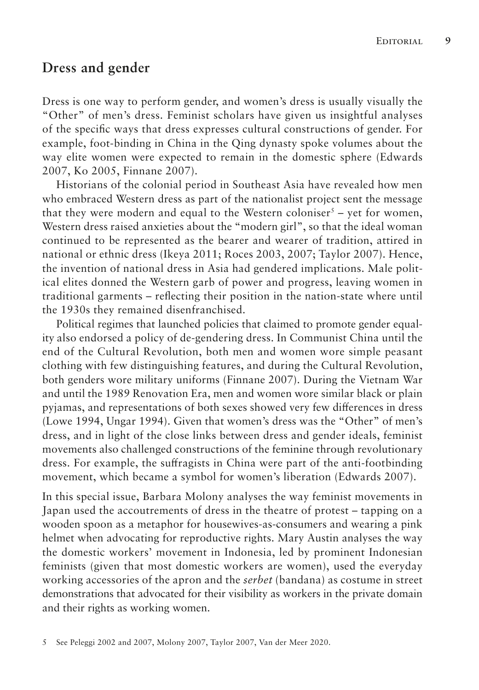## **Dress and gender**

Dress is one way to perform gender, and women's dress is usually visually the "Other" of men's dress. Feminist scholars have given us insightful analyses of the specific ways that dress expresses cultural constructions of gender. For example, foot-binding in China in the Qing dynasty spoke volumes about the way elite women were expected to remain in the domestic sphere (Edwards 2007, Ko 2005, Finnane 2007).

Historians of the colonial period in Southeast Asia have revealed how men who embraced Western dress as part of the nationalist project sent the message that they were modern and equal to the Western coloniser<sup>5</sup> – yet for women, Western dress raised anxieties about the "modern girl", so that the ideal woman continued to be represented as the bearer and wearer of tradition, attired in national or ethnic dress (Ikeya 2011; Roces 2003, 2007; Taylor 2007). Hence, the invention of national dress in Asia had gendered implications. Male political elites donned the Western garb of power and progress, leaving women in traditional garments – reflecting their position in the nation-state where until the 1930s they remained disenfranchised.

Political regimes that launched policies that claimed to promote gender equality also endorsed a policy of de-gendering dress. In Communist China until the end of the Cultural Revolution, both men and women wore simple peasant clothing with few distinguishing features, and during the Cultural Revolution, both genders wore military uniforms (Finnane 2007). During the Vietnam War and until the 1989 Renovation Era, men and women wore similar black or plain pyjamas, and representations of both sexes showed very few differences in dress (Lowe 1994, Ungar 1994). Given that women's dress was the "Other" of men's dress, and in light of the close links between dress and gender ideals, feminist movements also challenged constructions of the feminine through revolutionary dress. For example, the suffragists in China were part of the anti-footbinding movement, which became a symbol for women's liberation (Edwards 2007).

In this special issue, Barbara Molony analyses the way feminist movements in Japan used the accoutrements of dress in the theatre of protest – tapping on a wooden spoon as a metaphor for housewives-as-consumers and wearing a pink helmet when advocating for reproductive rights. Mary Austin analyses the way the domestic workers' movement in Indonesia, led by prominent Indonesian feminists (given that most domestic workers are women), used the everyday working accessories of the apron and the *serbet* (bandana) as costume in street demonstrations that advocated for their visibility as workers in the private domain and their rights as working women.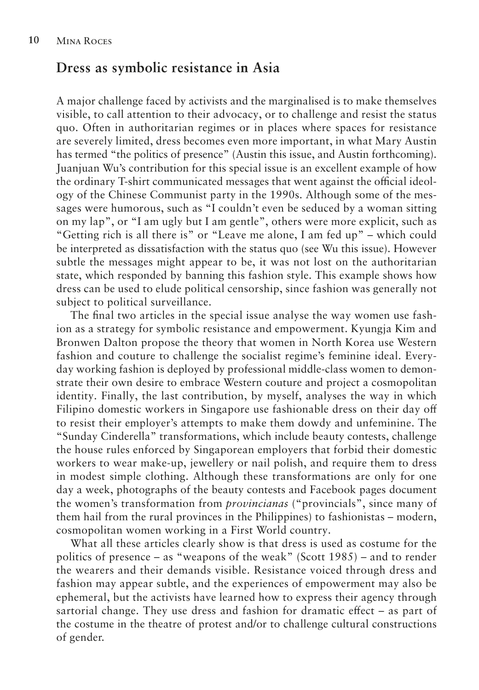# **Dress as symbolic resistance in Asia**

A major challenge faced by activists and the marginalised is to make themselves visible, to call attention to their advocacy, or to challenge and resist the status quo. Often in authoritarian regimes or in places where spaces for resistance are severely limited, dress becomes even more important, in what Mary Austin has termed "the politics of presence" (Austin this issue, and Austin forthcoming). Juanjuan Wu's contribution for this special issue is an excellent example of how the ordinary T-shirt communicated messages that went against the official ideology of the Chinese Communist party in the 1990s. Although some of the messages were humorous, such as "I couldn't even be seduced by a woman sitting on my lap", or "I am ugly but I am gentle", others were more explicit, such as "Getting rich is all there is" or "Leave me alone, I am fed up" – which could be interpreted as dissatisfaction with the status quo (see Wu this issue). However subtle the messages might appear to be, it was not lost on the authoritarian state, which responded by banning this fashion style. This example shows how dress can be used to elude political censorship, since fashion was generally not subject to political surveillance.

The final two articles in the special issue analyse the way women use fashion as a strategy for symbolic resistance and empowerment. Kyungja Kim and Bronwen Dalton propose the theory that women in North Korea use Western fashion and couture to challenge the socialist regime's feminine ideal. Everyday working fashion is deployed by professional middle-class women to demonstrate their own desire to embrace Western couture and project a cosmopolitan identity. Finally, the last contribution, by myself, analyses the way in which Filipino domestic workers in Singapore use fashionable dress on their day off to resist their employer's attempts to make them dowdy and unfeminine. The "Sunday Cinderella" transformations, which include beauty contests, challenge the house rules enforced by Singaporean employers that forbid their domestic workers to wear make-up, jewellery or nail polish, and require them to dress in modest simple clothing. Although these transformations are only for one day a week, photographs of the beauty contests and Facebook pages document the women's transformation from *provincianas* ("provincials", since many of them hail from the rural provinces in the Philippines) to fashionistas – modern, cosmopolitan women working in a First World country.

What all these articles clearly show is that dress is used as costume for the politics of presence – as "weapons of the weak" (Scott 1985) – and to render the wearers and their demands visible. Resistance voiced through dress and fashion may appear subtle, and the experiences of empowerment may also be ephemeral, but the activists have learned how to express their agency through sartorial change. They use dress and fashion for dramatic effect – as part of the costume in the theatre of protest and/or to challenge cultural constructions of gender.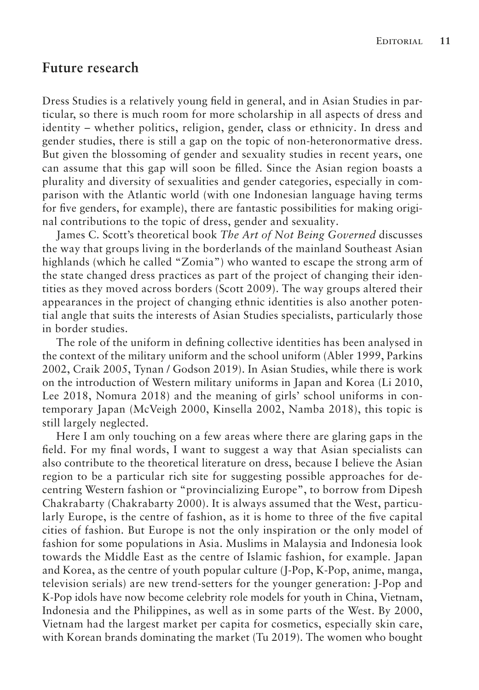## **Future research**

Dress Studies is a relatively young field in general, and in Asian Studies in particular, so there is much room for more scholarship in all aspects of dress and identity – whether politics, religion, gender, class or ethnicity. In dress and gender studies, there is still a gap on the topic of non-heteronormative dress. But given the blossoming of gender and sexuality studies in recent years, one can assume that this gap will soon be filled. Since the Asian region boasts a plurality and diversity of sexualities and gender categories, especially in comparison with the Atlantic world (with one Indonesian language having terms for five genders, for example), there are fantastic possibilities for making original contributions to the topic of dress, gender and sexuality.

James C. Scott's theoretical book *The Art of Not Being Governed* discusses the way that groups living in the borderlands of the mainland Southeast Asian highlands (which he called "Zomia") who wanted to escape the strong arm of the state changed dress practices as part of the project of changing their identities as they moved across borders (Scott 2009). The way groups altered their appearances in the project of changing ethnic identities is also another potential angle that suits the interests of Asian Studies specialists, particularly those in border studies.

The role of the uniform in defining collective identities has been analysed in the context of the military uniform and the school uniform (Abler 1999, Parkins 2002, Craik 2005, Tynan / Godson 2019). In Asian Studies, while there is work on the introduction of Western military uniforms in Japan and Korea (Li 2010, Lee 2018, Nomura 2018) and the meaning of girls' school uniforms in contemporary Japan (McVeigh 2000, Kinsella 2002, Namba 2018), this topic is still largely neglected.

Here I am only touching on a few areas where there are glaring gaps in the field. For my final words, I want to suggest a way that Asian specialists can also contribute to the theoretical literature on dress, because I believe the Asian region to be a particular rich site for suggesting possible approaches for decentring Western fashion or "provincializing Europe", to borrow from Dipesh Chakrabarty (Chakrabarty 2000). It is always assumed that the West, particularly Europe, is the centre of fashion, as it is home to three of the five capital cities of fashion. But Europe is not the only inspiration or the only model of fashion for some populations in Asia. Muslims in Malaysia and Indonesia look towards the Middle East as the centre of Islamic fashion, for example. Japan and Korea, as the centre of youth popular culture (J-Pop, K-Pop, anime, manga, television serials) are new trend-setters for the younger generation: J-Pop and K-Pop idols have now become celebrity role models for youth in China, Vietnam, Indonesia and the Philippines, as well as in some parts of the West. By 2000, Vietnam had the largest market per capita for cosmetics, especially skin care, with Korean brands dominating the market (Tu 2019). The women who bought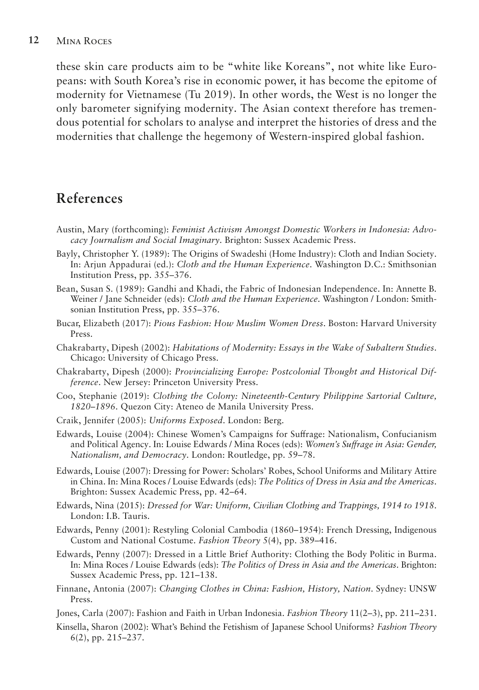### **12** Mina Roces

these skin care products aim to be "white like Koreans", not white like Europeans: with South Korea's rise in economic power, it has become the epitome of modernity for Vietnamese (Tu 2019). In other words, the West is no longer the only barometer signifying modernity. The Asian context therefore has tremendous potential for scholars to analyse and interpret the histories of dress and the modernities that challenge the hegemony of Western-inspired global fashion.

# **References**

- Austin, Mary (forthcoming): *Feminist Activism Amongst Domestic Workers in Indonesia: Advocacy Journalism and Social Imaginary*. Brighton: Sussex Academic Press.
- Bayly, Christopher Y. (1989): The Origins of Swadeshi (Home Industry): Cloth and Indian Society. In: Arjun Appadurai (ed.): *Cloth and the Human Experience*. Washington D.C.: Smithsonian Institution Press, pp. 355–376.
- Bean, Susan S. (1989): Gandhi and Khadi, the Fabric of Indonesian Independence. In: Annette B. Weiner / Jane Schneider (eds): *Cloth and the Human Experience*. Washington / London: Smithsonian Institution Press, pp. 355–376.
- Bucar, Elizabeth (2017): *Pious Fashion: How Muslim Women Dress*. Boston: Harvard University Press.
- Chakrabarty, Dipesh (2002): *Habitations of Modernity: Essays in the Wake of Subaltern Studies*. Chicago: University of Chicago Press.
- Chakrabarty, Dipesh (2000): *Provincializing Europe: Postcolonial Thought and Historical Difference*. New Jersey: Princeton University Press.
- Coo, Stephanie (2019): *Clothing the Colony: Nineteenth-Century Philippine Sartorial Culture, 1820*–*1896*. Quezon City: Ateneo de Manila University Press.
- Craik, Jennifer (2005): *Uniforms Exposed*. London: Berg.
- Edwards, Louise (2004): Chinese Women's Campaigns for Suffrage: Nationalism, Confucianism and Political Agency. In: Louise Edwards / Mina Roces (eds): *Women's Suffrage in Asia: Gender, Nationalism, and Democracy*. London: Routledge, pp. 59–78.
- Edwards, Louise (2007): Dressing for Power: Scholars' Robes, School Uniforms and Military Attire in China. In: Mina Roces / Louise Edwards (eds): *The Politics of Dress in Asia and the Americas*. Brighton: Sussex Academic Press, pp. 42–64.
- Edwards, Nina (2015): *Dressed for War: Uniform, Civilian Clothing and Trappings, 1914 to 1918*. London: I.B. Tauris.
- Edwards, Penny (2001): Restyling Colonial Cambodia (1860–1954): French Dressing, Indigenous Custom and National Costume. *Fashion Theory* 5(4), pp. 389–416.
- Edwards, Penny (2007): Dressed in a Little Brief Authority: Clothing the Body Politic in Burma. In: Mina Roces / Louise Edwards (eds): *The Politics of Dress in Asia and the Americas*. Brighton: Sussex Academic Press, pp. 121–138.
- Finnane, Antonia (2007): *Changing Clothes in China: Fashion, History, Nation*. Sydney: UNSW Press.
- Jones, Carla (2007): Fashion and Faith in Urban Indonesia. *Fashion Theory* 11(2–3), pp. 211–231.
- Kinsella, Sharon (2002): What's Behind the Fetishism of Japanese School Uniforms? *Fashion Theory* 6(2), pp. 215–237.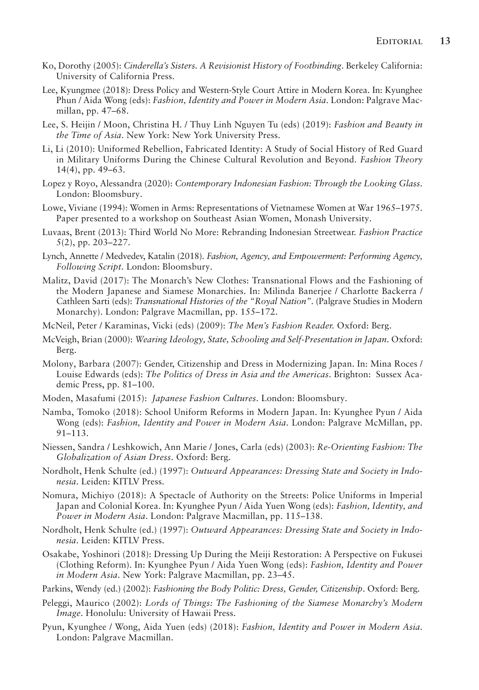- Ko, Dorothy (2005): *Cinderella's Sisters. A Revisionist History of Footbinding*. Berkeley California: University of California Press.
- Lee, Kyungmee (2018): Dress Policy and Western-Style Court Attire in Modern Korea. In: Kyunghee Phun / Aida Wong (eds): *Fashion, Identity and Power in Modern Asia*. London: Palgrave Macmillan, pp. 47–68.
- Lee, S. Heijin / Moon, Christina H. / Thuy Linh Nguyen Tu (eds) (2019): *Fashion and Beauty in the Time of Asia*. New York: New York University Press.
- Li, Li (2010): Uniformed Rebellion, Fabricated Identity: A Study of Social History of Red Guard in Military Uniforms During the Chinese Cultural Revolution and Beyond. *Fashion Theory*  14(4), pp. 49–63.
- Lopez y Royo, Alessandra (2020): *Contemporary Indonesian Fashion: Through the Looking Glass*. London: Bloomsbury.
- Lowe, Viviane (1994): Women in Arms: Representations of Vietnamese Women at War 1965–1975. Paper presented to a workshop on Southeast Asian Women, Monash University.
- Luvaas, Brent (2013): Third World No More: Rebranding Indonesian Streetwear. *Fashion Practice* 5(2), pp. 203–227.
- Lynch, Annette / Medvedev, Katalin (2018). *Fashion, Agency, and Empowerment: Performing Agency, Following Script*. London: Bloomsbury.
- Malitz, David (2017): The Monarch's New Clothes: Transnational Flows and the Fashioning of the Modern Japanese and Siamese Monarchies. In: Milinda Banerjee / Charlotte Backerra / Cathleen Sarti (eds): *Transnational Histories of the "Royal Nation"*. (Palgrave Studies in Modern Monarchy). London: Palgrave Macmillan, pp. 155–172.
- McNeil, Peter / Karaminas, Vicki (eds) (2009): *The Men's Fashion Reader.* Oxford: Berg.
- McVeigh, Brian (2000): *Wearing Ideology, State, Schooling and Self-Presentation in Japan*. Oxford: Berg.
- Molony, Barbara (2007): Gender, Citizenship and Dress in Modernizing Japan. In: Mina Roces / Louise Edwards (eds): *The Politics of Dress in Asia and the Americas*. Brighton: Sussex Academic Press, pp. 81–100.
- Moden, Masafumi (2015): *Japanese Fashion Cultures*. London: Bloomsbury.
- Namba, Tomoko (2018): School Uniform Reforms in Modern Japan. In: Kyunghee Pyun / Aida Wong (eds): *Fashion, Identity and Power in Modern Asia*. London: Palgrave McMillan, pp. 91–113.
- Niessen, Sandra / Leshkowich, Ann Marie / Jones, Carla (eds) (2003): *Re-Orienting Fashion: The Globalization of Asian Dress*. Oxford: Berg.
- Nordholt, Henk Schulte (ed.) (1997): *Outward Appearances: Dressing State and Society in Indonesia*. Leiden: KITLV Press.
- Nomura, Michiyo (2018): A Spectacle of Authority on the Streets: Police Uniforms in Imperial Japan and Colonial Korea. In: Kyunghee Pyun / Aida Yuen Wong (eds): *Fashion, Identity, and Power in Modern Asia*. London: Palgrave Macmillan, pp. 115–138.
- Nordholt, Henk Schulte (ed.) (1997): *Outward Appearances: Dressing State and Society in Indonesia*. Leiden: KITLV Press.
- Osakabe, Yoshinori (2018): Dressing Up During the Meiji Restoration: A Perspective on Fukusei (Clothing Reform). In: Kyunghee Pyun / Aida Yuen Wong (eds): *Fashion, Identity and Power in Modern Asia*. New York: Palgrave Macmillan, pp. 23–45.
- Parkins, Wendy (ed.) (2002): *Fashioning the Body Politic: Dress, Gender, Citizenship*. Oxford: Berg.
- Peleggi, Maurico (2002): *Lords of Things: The Fashioning of the Siamese Monarchy's Modern Image*. Honolulu: University of Hawaii Press.
- Pyun, Kyunghee / Wong, Aida Yuen (eds) (2018): *Fashion, Identity and Power in Modern Asia*. London: Palgrave Macmillan.